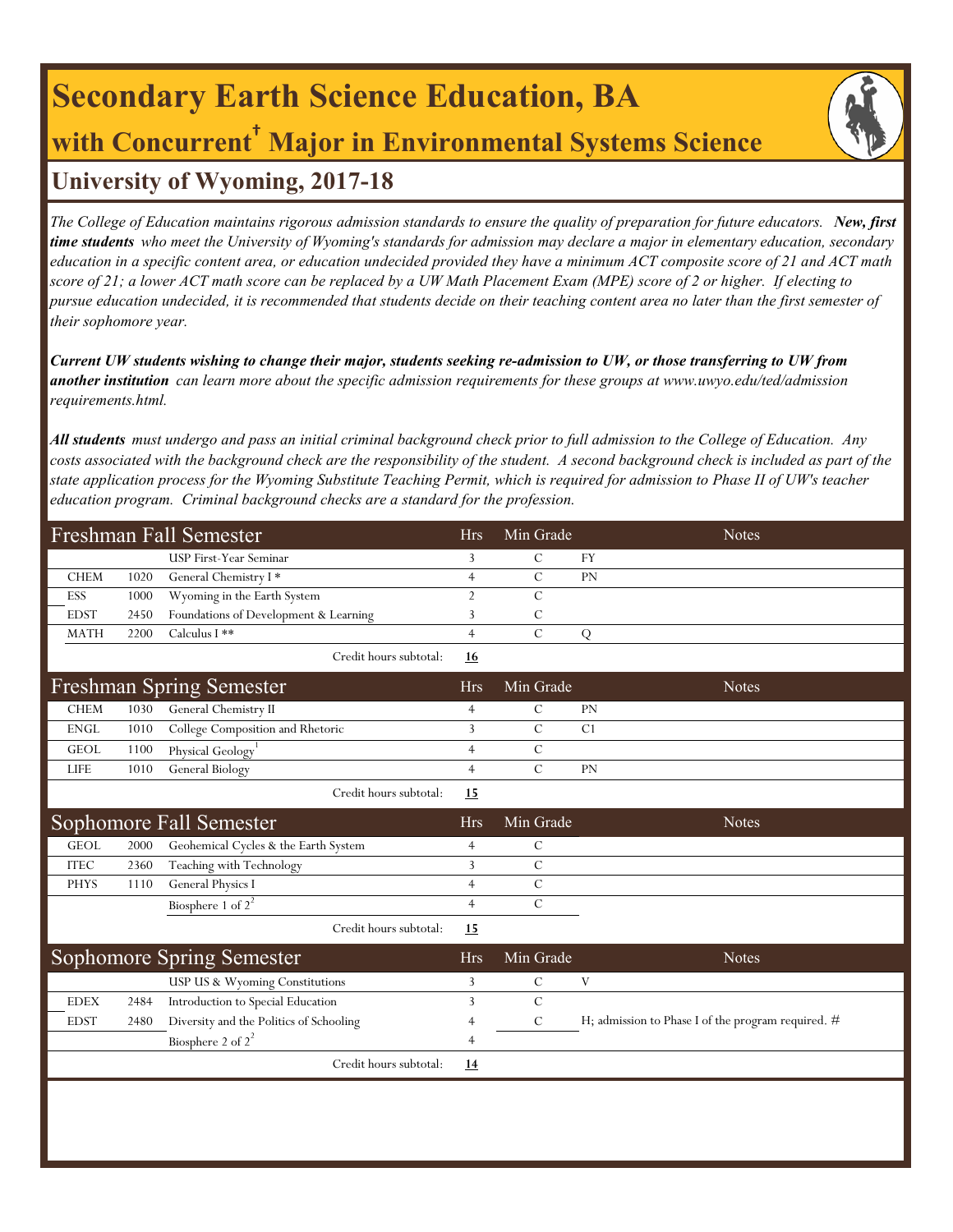## **Secondary Earth Science Education, BA with Concurrent† Major in Environmental Systems Science University of Wyoming, 2017-18**

*The College of Education maintains rigorous admission standards to ensure the quality of preparation for future educators. New, first time students who meet the University of Wyoming's standards for admission may declare a major in elementary education, secondary education in a specific content area, or education undecided provided they have a minimum ACT composite score of 21 and ACT math score of 21; a lower ACT math score can be replaced by a UW Math Placement Exam (MPE) score of 2 or higher. If electing to pursue education undecided, it is recommended that students decide on their teaching content area no later than the first semester of their sophomore year.*

*Current UW students wishing to change their major, students seeking re-admission to UW, or those transferring to UW from another institution can learn more about the specific admission requirements for these groups at www.uwyo.edu/ted/admission requirements.html.* 

*All students must undergo and pass an initial criminal background check prior to full admission to the College of Education. Any costs associated with the background check are the responsibility of the student. A second background check is included as part of the state application process for the Wyoming Substitute Teaching Permit, which is required for admission to Phase II of UW's teacher education program. Criminal background checks are a standard for the profession.*

| Freshman Fall Semester |             |      |                                         |                | Min Grade     | <b>Notes</b>                                       |
|------------------------|-------------|------|-----------------------------------------|----------------|---------------|----------------------------------------------------|
|                        |             |      | USP First-Year Seminar                  | 3              | $\mathcal{C}$ | <b>FY</b>                                          |
|                        | <b>CHEM</b> | 1020 | General Chemistry I*                    | $\overline{4}$ | $\mathcal{C}$ | <b>PN</b>                                          |
|                        | ESS         | 1000 | Wyoming in the Earth System             | $\overline{2}$ | $\mathcal{C}$ |                                                    |
|                        | <b>EDST</b> | 2450 | Foundations of Development & Learning   | 3              | C             |                                                    |
|                        | <b>MATH</b> | 2200 | Calculus I **                           | $\overline{4}$ | $\mathcal{C}$ | Q                                                  |
|                        |             |      | Credit hours subtotal:                  | 16             |               |                                                    |
|                        |             |      | <b>Freshman Spring Semester</b>         | <b>Hrs</b>     | Min Grade     | <b>Notes</b>                                       |
|                        | <b>CHEM</b> | 1030 | General Chemistry II                    | $\overline{4}$ | $\mathbf C$   | PN                                                 |
|                        | <b>ENGL</b> | 1010 | College Composition and Rhetoric        | 3              | $\mathcal{C}$ | C1                                                 |
|                        | <b>GEOL</b> | 1100 | Physical Geology <sup>1</sup>           | $\overline{4}$ | $\mathcal{C}$ |                                                    |
|                        | <b>LIFE</b> | 1010 | <b>General Biology</b>                  | $\overline{4}$ | $\mathbf C$   | PN                                                 |
|                        |             |      | Credit hours subtotal:                  | 15             |               |                                                    |
|                        |             |      | Sophomore Fall Semester                 | <b>Hrs</b>     | Min Grade     | <b>Notes</b>                                       |
|                        | <b>GEOL</b> | 2000 | Geohemical Cycles & the Earth System    | $\overline{4}$ | $\mathcal{C}$ |                                                    |
|                        | <b>ITEC</b> | 2360 | Teaching with Technology                | 3              | $\mathcal{C}$ |                                                    |
|                        | <b>PHYS</b> | 1110 | General Physics I                       | $\overline{4}$ | $\mathbf C$   |                                                    |
|                        |             |      | Biosphere 1 of $2^2$                    | $\overline{4}$ | $\mathbf C$   |                                                    |
|                        |             |      | Credit hours subtotal:                  | 15             |               |                                                    |
|                        |             |      | <b>Sophomore Spring Semester</b>        | <b>Hrs</b>     | Min Grade     | <b>Notes</b>                                       |
|                        |             |      | USP US & Wyoming Constitutions          | 3              | $\mathbf C$   | V                                                  |
|                        | <b>EDEX</b> | 2484 | Introduction to Special Education       | 3              | $\mathcal{C}$ |                                                    |
|                        | <b>EDST</b> | 2480 | Diversity and the Politics of Schooling | $\overline{4}$ | $\mathcal{C}$ | H; admission to Phase I of the program required. # |
|                        |             |      | Biosphere 2 of $2^2$                    | $\overline{4}$ |               |                                                    |
|                        |             |      | Credit hours subtotal:                  | 14             |               |                                                    |
|                        |             |      |                                         |                |               |                                                    |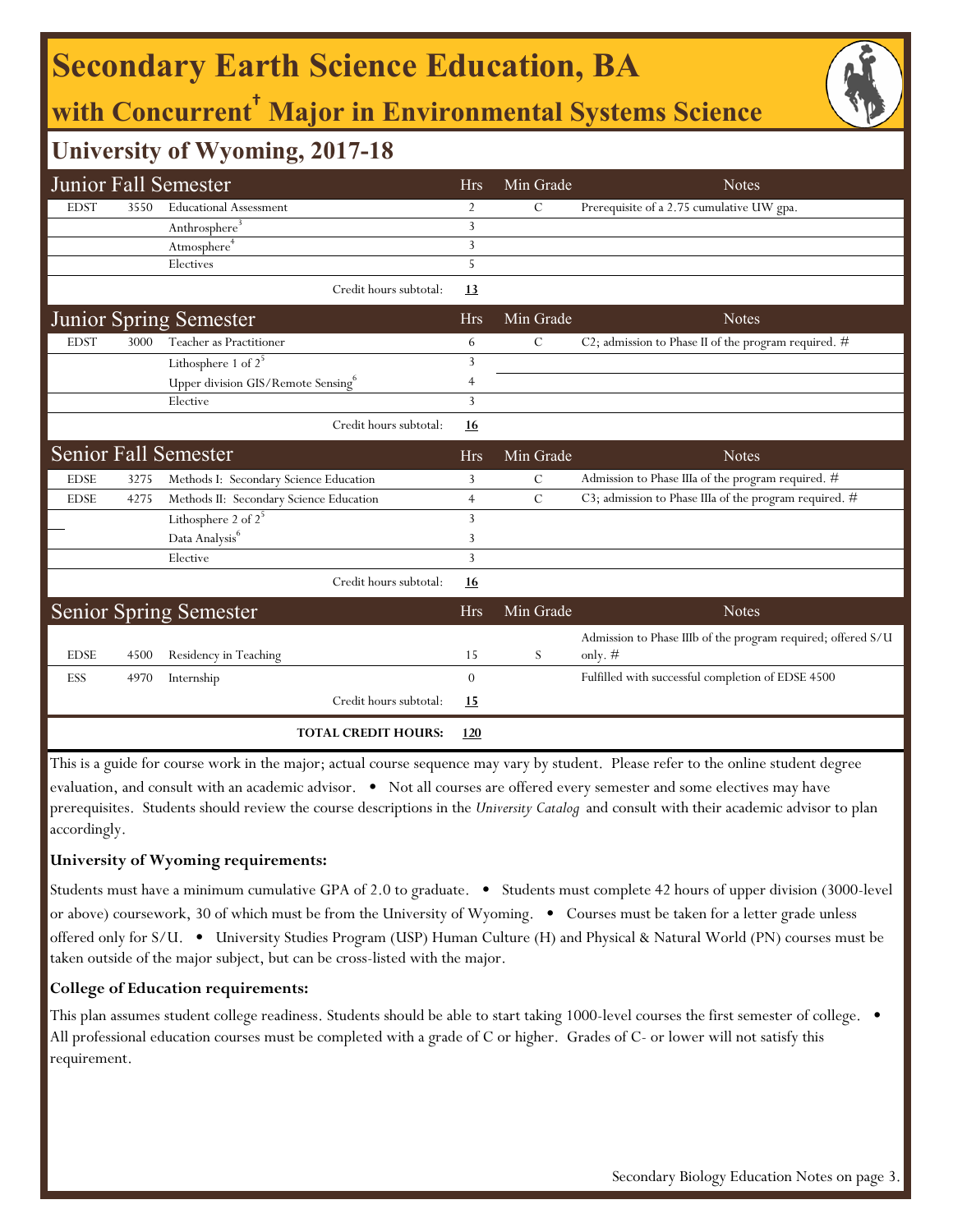## **Secondary Earth Science Education, BA**

## **with Concurrent† Major in Environmental Systems Science**

### **University of Wyoming, 2017-18**

|                                                                                                                                     |      | Junior Fall Semester                           | <b>Hrs</b>     | Min Grade     | <b>Notes</b>                                                 |  |  |  |
|-------------------------------------------------------------------------------------------------------------------------------------|------|------------------------------------------------|----------------|---------------|--------------------------------------------------------------|--|--|--|
| <b>EDST</b>                                                                                                                         | 3550 | <b>Educational Assessment</b>                  | 2              | С             | Prerequisite of a 2.75 cumulative UW gpa.                    |  |  |  |
|                                                                                                                                     |      | $Anthrosphere^3$                               | 3              |               |                                                              |  |  |  |
|                                                                                                                                     |      | Atmosphere <sup>4</sup>                        | 3              |               |                                                              |  |  |  |
|                                                                                                                                     |      | Electives                                      | 5              |               |                                                              |  |  |  |
|                                                                                                                                     |      | Credit hours subtotal:                         | 13             |               |                                                              |  |  |  |
|                                                                                                                                     |      | <b>Junior Spring Semester</b>                  | <b>Hrs</b>     | Min Grade     | <b>Notes</b>                                                 |  |  |  |
| <b>EDST</b>                                                                                                                         | 3000 | Teacher as Practitioner                        | 6              | $\mathcal{C}$ | C2; admission to Phase II of the program required. #         |  |  |  |
|                                                                                                                                     |      | Lithosphere 1 of $2^5$                         | 3              |               |                                                              |  |  |  |
|                                                                                                                                     |      | Upper division GIS/Remote Sensing <sup>6</sup> | 4              |               |                                                              |  |  |  |
|                                                                                                                                     |      | Elective                                       | 3              |               |                                                              |  |  |  |
|                                                                                                                                     |      | Credit hours subtotal:                         | <u>16</u>      |               |                                                              |  |  |  |
|                                                                                                                                     |      | <b>Senior Fall Semester</b>                    | <b>Hrs</b>     | Min Grade     | <b>Notes</b>                                                 |  |  |  |
| <b>EDSE</b>                                                                                                                         | 3275 | Methods I: Secondary Science Education         | 3              | C             | Admission to Phase IIIa of the program required. #           |  |  |  |
| <b>EDSE</b>                                                                                                                         | 4275 | Methods II: Secondary Science Education        | $\overline{4}$ | $\mathcal{C}$ | C3; admission to Phase IIIa of the program required. #       |  |  |  |
|                                                                                                                                     |      | Lithosphere 2 of $2^5$                         | 3              |               |                                                              |  |  |  |
|                                                                                                                                     |      | Data Analysis <sup>6</sup>                     | 3              |               |                                                              |  |  |  |
|                                                                                                                                     |      | Elective                                       | 3              |               |                                                              |  |  |  |
|                                                                                                                                     |      | Credit hours subtotal:                         | 16             |               |                                                              |  |  |  |
|                                                                                                                                     |      | <b>Senior Spring Semester</b>                  | <b>Hrs</b>     | Min Grade     | <b>Notes</b>                                                 |  |  |  |
|                                                                                                                                     |      |                                                |                |               | Admission to Phase IIIb of the program required; offered S/U |  |  |  |
| <b>EDSE</b>                                                                                                                         | 4500 | Residency in Teaching                          | 15             | S             | only. $#$                                                    |  |  |  |
| ESS                                                                                                                                 | 4970 | Internship                                     | $\overline{0}$ |               | Fulfilled with successful completion of EDSE 4500            |  |  |  |
|                                                                                                                                     |      | Credit hours subtotal:                         | <u>15</u>      |               |                                                              |  |  |  |
|                                                                                                                                     |      | <b>TOTAL CREDIT HOURS:</b>                     | 120            |               |                                                              |  |  |  |
| This is a quide for course work in the major: actual course sequence may vary by student. Please refer to the online student degree |      |                                                |                |               |                                                              |  |  |  |

urse work in the major; actual course sequence may vary by student. Please refer to the online stude evaluation, and consult with an academic advisor. • Not all courses are offered every semester and some electives may have prerequisites. Students should review the course descriptions in the *University Catalog* and consult with their academic advisor to plan accordingly.

#### **University of Wyoming requirements:**

Students must have a minimum cumulative GPA of 2.0 to graduate. • Students must complete 42 hours of upper division (3000-level or above) coursework, 30 of which must be from the University of Wyoming. • Courses must be taken for a letter grade unless offered only for S/U. • University Studies Program (USP) Human Culture (H) and Physical & Natural World (PN) courses must be taken outside of the major subject, but can be cross-listed with the major.

#### **College of Education requirements:**

This plan assumes student college readiness. Students should be able to start taking 1000-level courses the first semester of college.  $\bullet$ All professional education courses must be completed with a grade of C or higher. Grades of C- or lower will not satisfy this requirement.